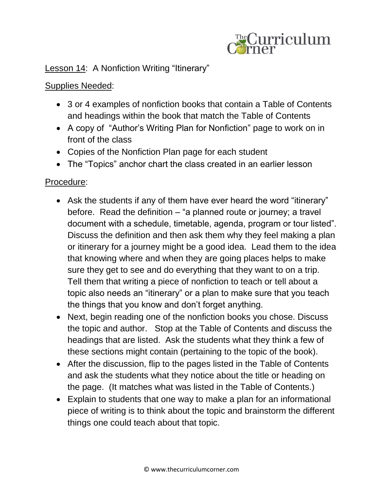

## Lesson 14: A Nonfiction Writing "Itinerary"

## Supplies Needed:

- 3 or 4 examples of nonfiction books that contain a Table of Contents and headings within the book that match the Table of Contents
- A copy of "Author's Writing Plan for Nonfiction" page to work on in front of the class
- Copies of the Nonfiction Plan page for each student
- The "Topics" anchor chart the class created in an earlier lesson

## Procedure:

- Ask the students if any of them have ever heard the word "itinerary" before. Read the definition – "a planned route or journey; a travel document with a schedule, timetable, agenda, program or tour listed". Discuss the definition and then ask them why they feel making a plan or itinerary for a journey might be a good idea. Lead them to the idea that knowing where and when they are going places helps to make sure they get to see and do everything that they want to on a trip. Tell them that writing a piece of nonfiction to teach or tell about a topic also needs an "itinerary" or a plan to make sure that you teach the things that you know and don't forget anything.
- Next, begin reading one of the nonfiction books you chose. Discuss the topic and author. Stop at the Table of Contents and discuss the headings that are listed. Ask the students what they think a few of these sections might contain (pertaining to the topic of the book).
- After the discussion, flip to the pages listed in the Table of Contents and ask the students what they notice about the title or heading on the page. (It matches what was listed in the Table of Contents.)
- Explain to students that one way to make a plan for an informational piece of writing is to think about the topic and brainstorm the different things one could teach about that topic.